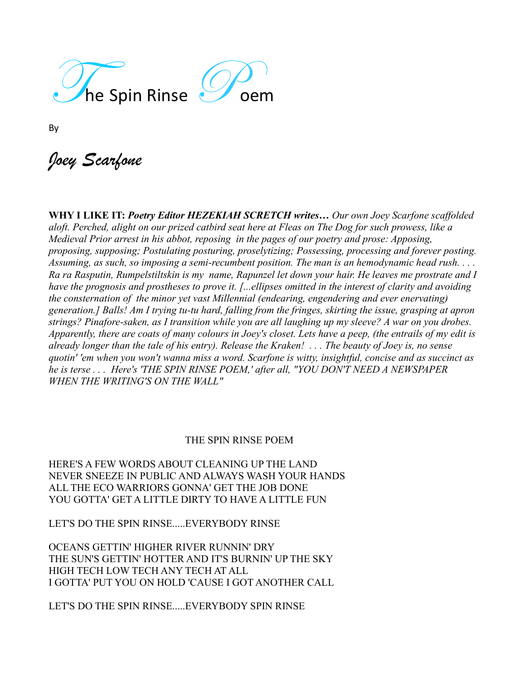

By

*Joey Scarfone*

**WHY I LIKE IT:** *Poetry Editor HEZEKIAH SCRETCH writes… Our own Joey Scarfone scaffolded aloft. Perched, alight on our prized catbird seat here at Fleas on The Dog for such prowess, like a Medieval Prior arrest in his abbot, reposing in the pages of our poetry and prose: Apposing, proposing, supposing; Postulating posturing, proselytizing; Possessing, processing and forever posting. Assuming, as such, so imposing a semi-recumbent position. The man is an hemodynamic head rush. . . . Ra ra Rasputin, Rumpelstiltskin is my name, Rapunzel let down your hair. He leaves me prostrate and I have the prognosis and prostheses to prove it. [...ellipses omitted in the interest of clarity and avoiding the consternation of the minor yet vast Millennial (endearing, engendering and ever enervating) generation.] Balls! Am I trying tu-tu hard, falling from the fringes, skirting the issue, grasping at apron strings? Pinafore-saken, as I transition while you are all laughing up my sleeve? A war on you drobes. Apparently, there are coats of many colours in Joey's closet. Lets have a peep, (the entrails of my edit is already longer than the tale of his entry). Release the Kraken! . . . The beauty of Joey is, no sense quotin' 'em when you won't wanna miss a word. Scarfone is witty, insightful, concise and as succinct as he is terse . . . Here's 'THE SPIN RINSE POEM,' after all, "YOU DON'T NEED A NEWSPAPER WHEN THE WRITING'S ON THE WALL"*

## THE SPIN RINSE POEM

HERE'S A FEW WORDS ABOUT CLEANING UP THE LAND NEVER SNEEZE IN PUBLIC AND ALWAYS WASH YOUR HANDS ALL THE ECO WARRIORS GONNA' GET THE JOB DONE YOU GOTTA' GET A LITTLE DIRTY TO HAVE A LITTLE FUN

LET'S DO THE SPIN RINSE.....EVERYBODY RINSE

OCEANS GETTIN' HIGHER RIVER RUNNIN' DRY THE SUN'S GETTIN' HOTTER AND IT'S BURNIN' UP THE SKY HIGH TECH LOW TECH ANY TECH AT ALL I GOTTA' PUT YOU ON HOLD 'CAUSE I GOT ANOTHER CALL

LET'S DO THE SPIN RINSE.....EVERYBODY SPIN RINSE